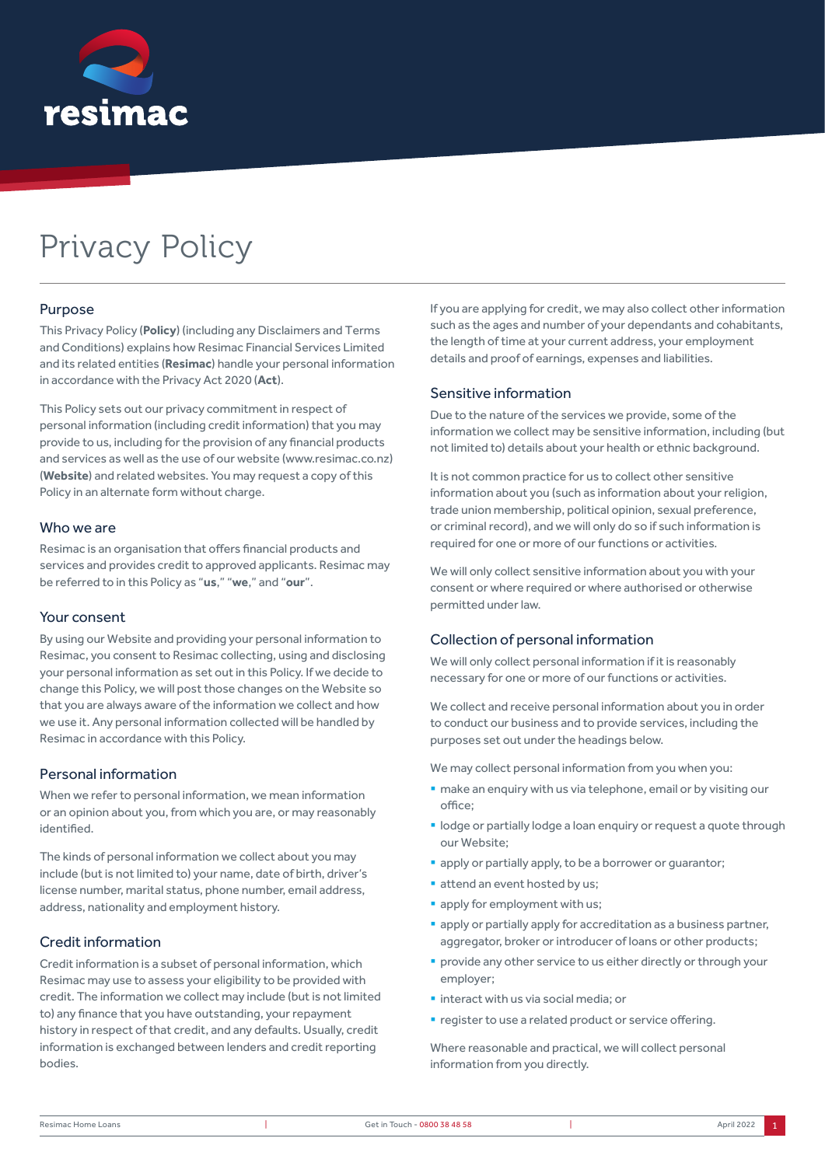

# Privacy Policy

## Purpose

This Privacy Policy (**Policy**) (including any Disclaimers and Terms and Conditions) explains how Resimac Financial Services Limited and its related entities (**Resimac**) handle your personal information in accordance with the Privacy Act 2020 (**Act**).

This Policy sets out our privacy commitment in respect of personal information (including credit information) that you may provide to us, including for the provision of any financial products and services as well as the use of our website (www.resimac.co.nz) (**Website**) and related websites. You may request a copy of this Policy in an alternate form without charge.

#### Who we are

Resimac is an organisation that offers financial products and services and provides credit to approved applicants. Resimac may be referred to in this Policy as "**us**," "**we**," and "**our**".

#### Your consent

By using our Website and providing your personal information to Resimac, you consent to Resimac collecting, using and disclosing your personal information as set out in this Policy. If we decide to change this Policy, we will post those changes on the Website so that you are always aware of the information we collect and how we use it. Any personal information collected will be handled by Resimac in accordance with this Policy.

## Personal information

When we refer to personal information, we mean information or an opinion about you, from which you are, or may reasonably identified.

The kinds of personal information we collect about you may include (but is not limited to) your name, date of birth, driver's license number, marital status, phone number, email address, address, nationality and employment history.

# Credit information

Credit information is a subset of personal information, which Resimac may use to assess your eligibility to be provided with credit. The information we collect may include (but is not limited to) any finance that you have outstanding, your repayment history in respect of that credit, and any defaults. Usually, credit information is exchanged between lenders and credit reporting bodies.

If you are applying for credit, we may also collect other information such as the ages and number of your dependants and cohabitants, the length of time at your current address, your employment details and proof of earnings, expenses and liabilities.

## Sensitive information

Due to the nature of the services we provide, some of the information we collect may be sensitive information, including (but not limited to) details about your health or ethnic background.

It is not common practice for us to collect other sensitive information about you (such as information about your religion, trade union membership, political opinion, sexual preference, or criminal record), and we will only do so if such information is required for one or more of our functions or activities.

We will only collect sensitive information about you with your consent or where required or where authorised or otherwise permitted under law.

## Collection of personal information

We will only collect personal information if it is reasonably necessary for one or more of our functions or activities.

We collect and receive personal information about you in order to conduct our business and to provide services, including the purposes set out under the headings below.

We may collect personal information from you when you:

- make an enquiry with us via telephone, email or by visiting our office;
- lodge or partially lodge a loan enquiry or request a quote through our Website;
- **apply or partially apply, to be a borrower or quarantor:**
- **attend an event hosted by us;**
- **•** apply for employment with us;
- **•** apply or partially apply for accreditation as a business partner, aggregator, broker or introducer of loans or other products;
- **•** provide any other service to us either directly or through your employer;
- **·** interact with us via social media; or
- register to use a related product or service offering.

Where reasonable and practical, we will collect personal information from you directly.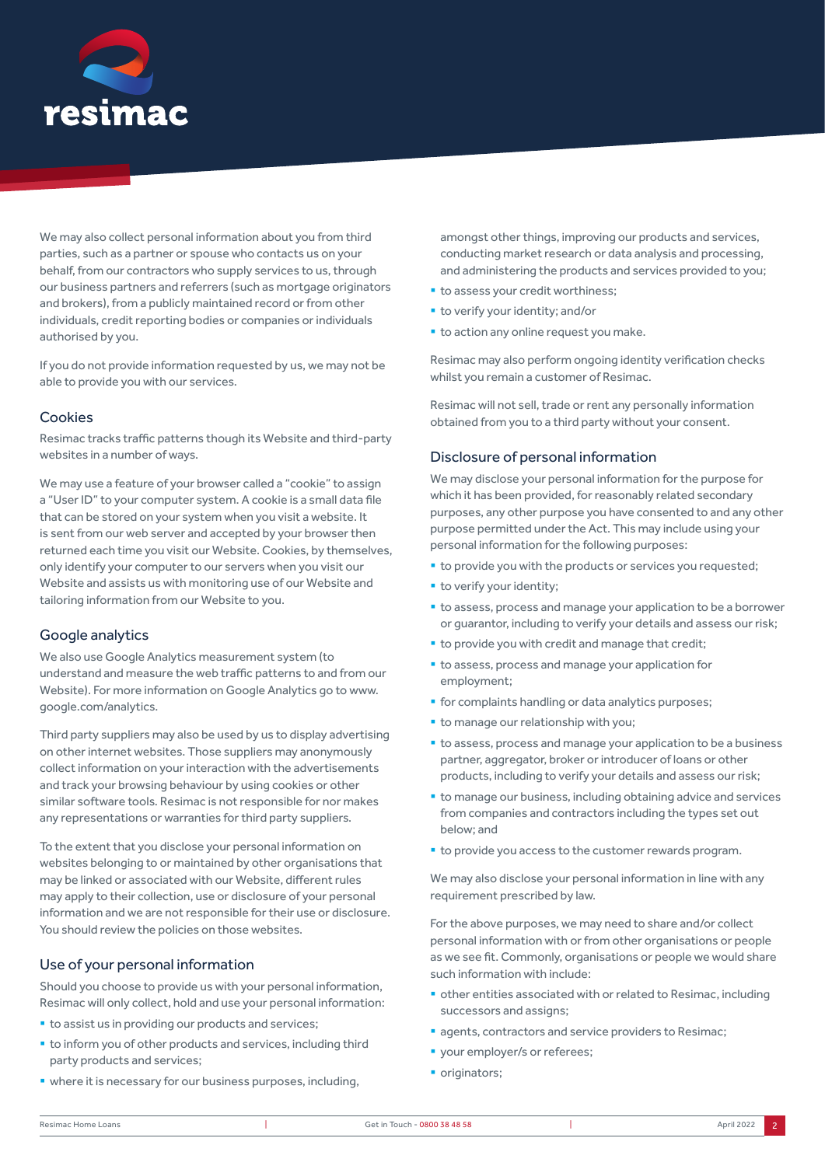

We may also collect personal information about you from third parties, such as a partner or spouse who contacts us on your behalf, from our contractors who supply services to us, through our business partners and referrers (such as mortgage originators and brokers), from a publicly maintained record or from other individuals, credit reporting bodies or companies or individuals authorised by you.

If you do not provide information requested by us, we may not be able to provide you with our services.

## Cookies

Resimac tracks traffic patterns though its Website and third-party websites in a number of ways.

We may use a feature of your browser called a "cookie" to assign a "User ID" to your computer system. A cookie is a small data file that can be stored on your system when you visit a website. It is sent from our web server and accepted by your browser then returned each time you visit our Website. Cookies, by themselves, only identify your computer to our servers when you visit our Website and assists us with monitoring use of our Website and tailoring information from our Website to you.

## Google analytics

We also use Google Analytics measurement system (to understand and measure the web traffic patterns to and from our Website). For more information on Google Analytics go to www. google.com/analytics.

Third party suppliers may also be used by us to display advertising on other internet websites. Those suppliers may anonymously collect information on your interaction with the advertisements and track your browsing behaviour by using cookies or other similar software tools. Resimac is not responsible for nor makes any representations or warranties for third party suppliers.

To the extent that you disclose your personal information on websites belonging to or maintained by other organisations that may be linked or associated with our Website, different rules may apply to their collection, use or disclosure of your personal information and we are not responsible for their use or disclosure. You should review the policies on those websites.

## Use of your personal information

Should you choose to provide us with your personal information, Resimac will only collect, hold and use your personal information:

- to assist us in providing our products and services;
- to inform you of other products and services, including third party products and services;
- where it is necessary for our business purposes, including,

amongst other things, improving our products and services, conducting market research or data analysis and processing, and administering the products and services provided to you;

- to assess your credit worthiness;
- **to verify your identity; and/or**
- **to action any online request you make.**

Resimac may also perform ongoing identity verification checks whilst you remain a customer of Resimac.

Resimac will not sell, trade or rent any personally information obtained from you to a third party without your consent.

#### Disclosure of personal information

We may disclose your personal information for the purpose for which it has been provided, for reasonably related secondary purposes, any other purpose you have consented to and any other purpose permitted under the Act. This may include using your personal information for the following purposes:

- $\bullet$  to provide you with the products or services you requested;
- **•** to verify your identity;
- to assess, process and manage your application to be a borrower or guarantor, including to verify your details and assess our risk;
- to provide you with credit and manage that credit;
- to assess, process and manage your application for employment;
- **•** for complaints handling or data analytics purposes;
- **to manage our relationship with you;**
- to assess, process and manage your application to be a business partner, aggregator, broker or introducer of loans or other products, including to verify your details and assess our risk;
- to manage our business, including obtaining advice and services from companies and contractors including the types set out below; and
- to provide you access to the customer rewards program.

We may also disclose your personal information in line with any requirement prescribed by law.

For the above purposes, we may need to share and/or collect personal information with or from other organisations or people as we see fit. Commonly, organisations or people we would share such information with include:

- other entities associated with or related to Resimac, including successors and assigns;
- agents, contractors and service providers to Resimac;
- **•** your employer/s or referees;
- originators;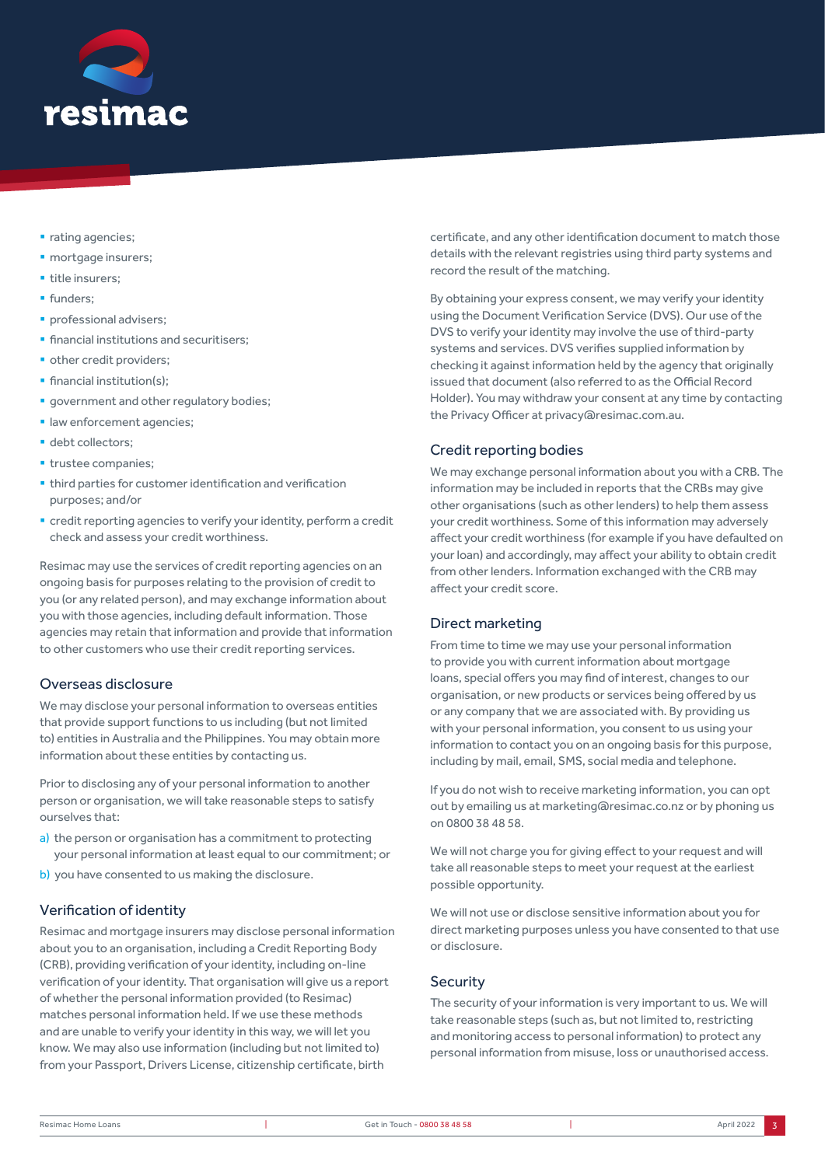

- rating agencies:
- **·** mortgage insurers;
- **·** title insurers;
- **·** funders:
- **•** professional advisers;
- financial institutions and securitisers:
- **•** other credit providers:
- **•** financial institution(s);
- **•** government and other regulatory bodies;
- **· law enforcement agencies;**
- debt collectors;
- **· trustee companies;**
- third parties for customer identification and verification purposes; and/or
- credit reporting agencies to verify your identity, perform a credit check and assess your credit worthiness.

Resimac may use the services of credit reporting agencies on an ongoing basis for purposes relating to the provision of credit to you (or any related person), and may exchange information about you with those agencies, including default information. Those agencies may retain that information and provide that information to other customers who use their credit reporting services.

# Overseas disclosure

We may disclose your personal information to overseas entities that provide support functions to us including (but not limited to) entities in Australia and the Philippines. You may obtain more information about these entities by contacting us.

Prior to disclosing any of your personal information to another person or organisation, we will take reasonable steps to satisfy ourselves that:

- a) the person or organisation has a commitment to protecting your personal information at least equal to our commitment; or
- b) you have consented to us making the disclosure.

# Verification of identity

Resimac and mortgage insurers may disclose personal information about you to an organisation, including a Credit Reporting Body (CRB), providing verification of your identity, including on-line verification of your identity. That organisation will give us a report of whether the personal information provided (to Resimac) matches personal information held. If we use these methods and are unable to verify your identity in this way, we will let you know. We may also use information (including but not limited to) from your Passport, Drivers License, citizenship certificate, birth

certificate, and any other identification document to match those details with the relevant registries using third party systems and record the result of the matching.

By obtaining your express consent, we may verify your identity using the Document Verification Service (DVS). Our use of the DVS to verify your identity may involve the use of third-party systems and services. DVS verifies supplied information by checking it against information held by the agency that originally issued that document (also referred to as the Official Record Holder). You may withdraw your consent at any time by contacting the Privacy Officer at privacy@resimac.com.au.

# Credit reporting bodies

We may exchange personal information about you with a CRB. The information may be included in reports that the CRBs may give other organisations (such as other lenders) to help them assess your credit worthiness. Some of this information may adversely affect your credit worthiness (for example if you have defaulted on your loan) and accordingly, may affect your ability to obtain credit from other lenders. Information exchanged with the CRB may affect your credit score.

# Direct marketing

From time to time we may use your personal information to provide you with current information about mortgage loans, special offers you may find of interest, changes to our organisation, or new products or services being offered by us or any company that we are associated with. By providing us with your personal information, you consent to us using your information to contact you on an ongoing basis for this purpose, including by mail, email, SMS, social media and telephone.

If you do not wish to receive marketing information, you can opt out by emailing us at marketing@resimac.co.nz or by phoning us on 0800 38 48 58.

We will not charge you for giving effect to your request and will take all reasonable steps to meet your request at the earliest possible opportunity.

We will not use or disclose sensitive information about you for direct marketing purposes unless you have consented to that use or disclosure.

# **Security**

The security of your information is very important to us. We will take reasonable steps (such as, but not limited to, restricting and monitoring access to personal information) to protect any personal information from misuse, loss or unauthorised access.